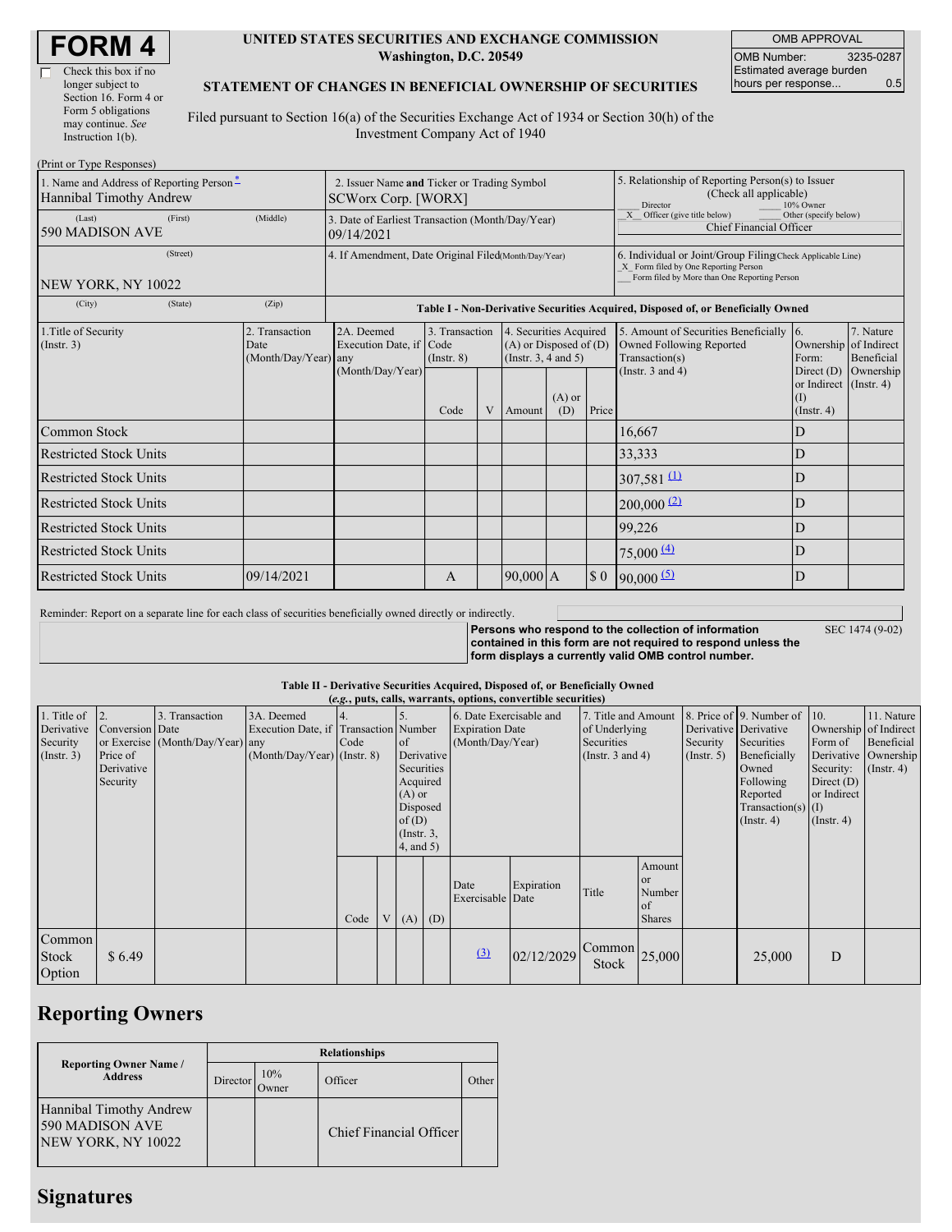| Check this box if no  |
|-----------------------|
| longer subject to     |
| Section 16. Form 4 or |
| Form 5 obligations    |
| may continue. See     |
| Instruction 1(b).     |

(Print or Type Responses)

### **UNITED STATES SECURITIES AND EXCHANGE COMMISSION Washington, D.C. 20549**

OMB APPROVAL OMB Number: 3235-0287 Estimated average burden hours per response... 0.5

### **STATEMENT OF CHANGES IN BENEFICIAL OWNERSHIP OF SECURITIES**

Filed pursuant to Section 16(a) of the Securities Exchange Act of 1934 or Section 30(h) of the Investment Company Act of 1940

| THIR OF TYPE RESPONSES<br>1. Name and Address of Reporting Person-<br>Hannibal Timothy Andrew | 2. Issuer Name and Ticker or Trading Symbol<br><b>SCWorx Corp. [WORX]</b> |                                                                                  |                                   |  |                                                                              | 5. Relationship of Reporting Person(s) to Issuer<br>(Check all applicable)<br>10% Owner<br>Director                                                |                                                                                  |                                                                                        |                                                              |                         |  |
|-----------------------------------------------------------------------------------------------|---------------------------------------------------------------------------|----------------------------------------------------------------------------------|-----------------------------------|--|------------------------------------------------------------------------------|----------------------------------------------------------------------------------------------------------------------------------------------------|----------------------------------------------------------------------------------|----------------------------------------------------------------------------------------|--------------------------------------------------------------|-------------------------|--|
| (First)<br>(Last)<br>590 MADISON AVE                                                          | (Middle)                                                                  | 3. Date of Earliest Transaction (Month/Day/Year)<br>09/14/2021                   |                                   |  |                                                                              |                                                                                                                                                    | X Officer (give title below)<br>Other (specify below)<br>Chief Financial Officer |                                                                                        |                                                              |                         |  |
| (Street)<br>NEW YORK, NY 10022                                                                | 4. If Amendment, Date Original Filed(Month/Day/Year)                      |                                                                                  |                                   |  |                                                                              | 6. Individual or Joint/Group Filing(Check Applicable Line)<br>X Form filed by One Reporting Person<br>Form filed by More than One Reporting Person |                                                                                  |                                                                                        |                                                              |                         |  |
| (City)<br>(State)                                                                             | (Zip)                                                                     | Table I - Non-Derivative Securities Acquired, Disposed of, or Beneficially Owned |                                   |  |                                                                              |                                                                                                                                                    |                                                                                  |                                                                                        |                                                              |                         |  |
| 1. Title of Security<br>$($ Instr. 3 $)$                                                      | 2. Transaction<br>Date<br>(Month/Day/Year) any                            | 2A. Deemed<br>Execution Date, if Code                                            | 3. Transaction<br>$($ Instr. $8)$ |  | 4. Securities Acquired<br>$(A)$ or Disposed of $(D)$<br>(Insert. 3, 4 and 5) |                                                                                                                                                    |                                                                                  | 5. Amount of Securities Beneficially [6.<br>Owned Following Reported<br>Transaction(s) | Ownership of Indirect<br>Form:                               | 7. Nature<br>Beneficial |  |
|                                                                                               |                                                                           | (Month/Day/Year)                                                                 | Code                              |  | V Amount                                                                     | $(A)$ or<br>(D)                                                                                                                                    | Price                                                                            | (Instr. $3$ and $4$ )                                                                  | Direct $(D)$<br>or Indirect (Instr. 4)<br>(I)<br>(Insert. 4) | Ownership               |  |
| Common Stock                                                                                  |                                                                           |                                                                                  |                                   |  |                                                                              |                                                                                                                                                    |                                                                                  | 16,667                                                                                 | D                                                            |                         |  |
| <b>Restricted Stock Units</b>                                                                 |                                                                           |                                                                                  |                                   |  |                                                                              |                                                                                                                                                    |                                                                                  | 33,333                                                                                 | D                                                            |                         |  |
| <b>Restricted Stock Units</b>                                                                 |                                                                           |                                                                                  |                                   |  |                                                                              |                                                                                                                                                    |                                                                                  | 307,581 $\frac{11}{2}$                                                                 | D                                                            |                         |  |
| <b>Restricted Stock Units</b>                                                                 |                                                                           |                                                                                  |                                   |  |                                                                              |                                                                                                                                                    |                                                                                  | $200,000$ $(2)$                                                                        | D                                                            |                         |  |
| <b>Restricted Stock Units</b>                                                                 |                                                                           |                                                                                  |                                   |  |                                                                              |                                                                                                                                                    |                                                                                  | 99,226                                                                                 | D                                                            |                         |  |
| <b>Restricted Stock Units</b>                                                                 |                                                                           |                                                                                  |                                   |  |                                                                              |                                                                                                                                                    |                                                                                  | 75,000(4)                                                                              | D                                                            |                         |  |
| <b>Restricted Stock Units</b>                                                                 | 09/14/2021                                                                |                                                                                  | A                                 |  | $90,000$ A                                                                   |                                                                                                                                                    | $\boldsymbol{\mathsf{S}}$ 0                                                      | $90,000$ (5)                                                                           | D                                                            |                         |  |

Reminder: Report on a separate line for each class of securities beneficially owned directly or indirectly.

SEC 1474 (9-02)

**Persons who respond to the collection of information contained in this form are not required to respond unless the form displays a currently valid OMB control number.**

### **Table II - Derivative Securities Acquired, Disposed of, or Beneficially Owned**

|                                                           | (e.g., puts, calls, warrants, options, convertible securities) |                                                    |                                                                                      |      |  |                                                                                                                             |  |                                                                       |            |                                                                             |                                                                     |                                                       |                                                                                                                                          |                                                                                                  |                                                                      |
|-----------------------------------------------------------|----------------------------------------------------------------|----------------------------------------------------|--------------------------------------------------------------------------------------|------|--|-----------------------------------------------------------------------------------------------------------------------------|--|-----------------------------------------------------------------------|------------|-----------------------------------------------------------------------------|---------------------------------------------------------------------|-------------------------------------------------------|------------------------------------------------------------------------------------------------------------------------------------------|--------------------------------------------------------------------------------------------------|----------------------------------------------------------------------|
| 1. Title of<br>Derivative<br>Security<br>$($ Instr. 3 $)$ | 2.<br>Conversion Date<br>Price of<br>Derivative<br>Security    | 3. Transaction<br>or Exercise (Month/Day/Year) any | 3A. Deemed<br>Execution Date, if Transaction Number<br>$(Month/Day/Year)$ (Instr. 8) | Code |  | <sub>of</sub><br>Derivative<br>Securities<br>Acquired<br>$(A)$ or<br>Disposed<br>of(D)<br>$($ Instr. $3,$<br>$4$ , and $5)$ |  | 6. Date Exercisable and<br><b>Expiration Date</b><br>(Month/Day/Year) |            | 7. Title and Amount<br>of Underlying<br>Securities<br>(Instr. $3$ and $4$ ) |                                                                     | Derivative Derivative<br>Security<br>$($ Instr. 5 $)$ | 8. Price of 9. Number of 10.<br>Securities<br>Beneficially<br>Owned<br>Following<br>Reported<br>Transaction(s) $(I)$<br>$($ Instr. 4 $)$ | Ownership of Indirect<br>Form of<br>Security:<br>Direct $(D)$<br>or Indirect<br>$($ Instr. 4 $)$ | 11. Nature<br>Beneficial<br>Derivative Ownership<br>$($ Instr. 4 $)$ |
|                                                           |                                                                |                                                    |                                                                                      | Code |  | $(A)$ $(D)$                                                                                                                 |  | Date<br>Exercisable Date                                              | Expiration | Title                                                                       | Amount<br><sub>or</sub><br>Number<br><sub>of</sub><br><b>Shares</b> |                                                       |                                                                                                                                          |                                                                                                  |                                                                      |
| Common<br>Stock<br>Option                                 | \$6.49                                                         |                                                    |                                                                                      |      |  |                                                                                                                             |  | (3)                                                                   | 02/12/2029 | $\sim$ [Common] 25,000<br><b>Stock</b>                                      |                                                                     |                                                       | 25,000                                                                                                                                   | D                                                                                                |                                                                      |

# **Reporting Owners**

|                                                                  | <b>Relationships</b> |                      |                         |       |  |  |  |  |  |
|------------------------------------------------------------------|----------------------|----------------------|-------------------------|-------|--|--|--|--|--|
| <b>Reporting Owner Name</b> /<br><b>Address</b>                  | Director             | 10%<br><b>J</b> wner | Officer                 | Other |  |  |  |  |  |
| Hannibal Timothy Andrew<br>590 MADISON AVE<br>NEW YORK, NY 10022 |                      |                      | Chief Financial Officer |       |  |  |  |  |  |

# **Signatures**